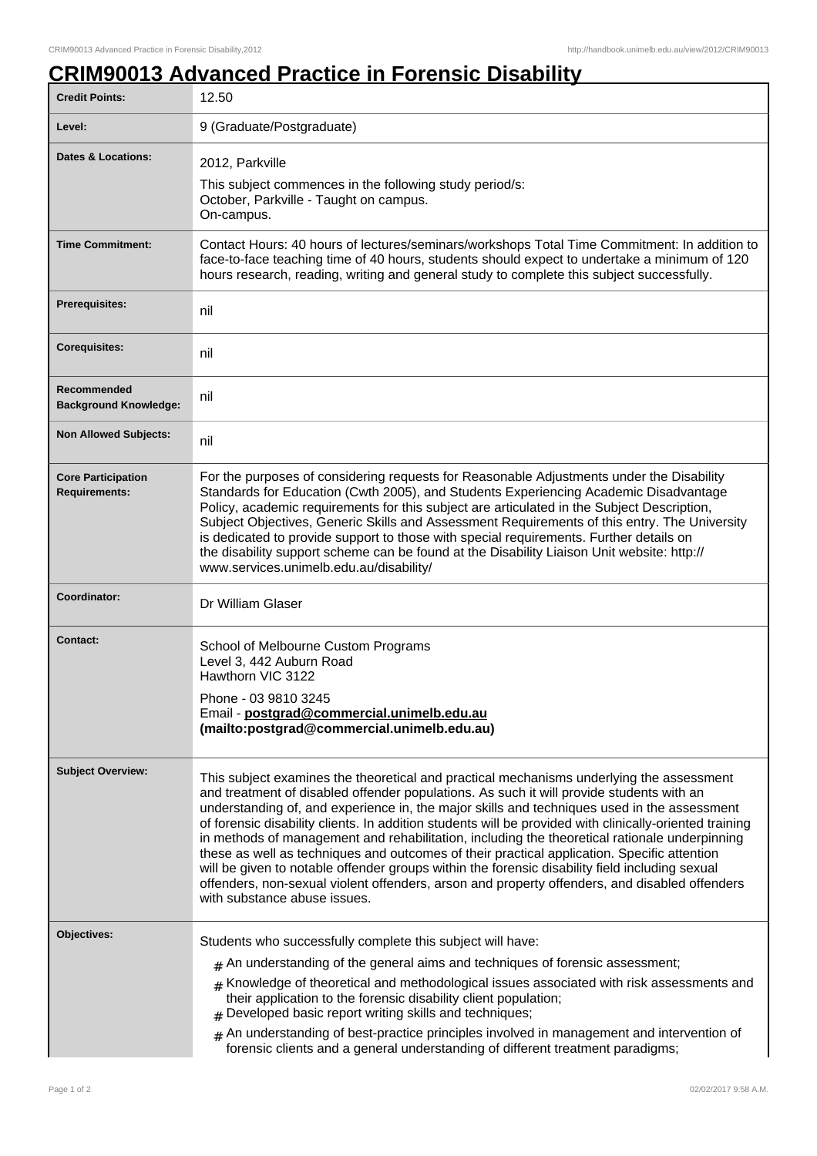٦

## **CRIM90013 Advanced Practice in Forensic Disability**

| <b>Credit Points:</b>                             | 12.50                                                                                                                                                                                                                                                                                                                                                                                                                                                                                                                                                                                                                                                                                                                                                                                                                             |
|---------------------------------------------------|-----------------------------------------------------------------------------------------------------------------------------------------------------------------------------------------------------------------------------------------------------------------------------------------------------------------------------------------------------------------------------------------------------------------------------------------------------------------------------------------------------------------------------------------------------------------------------------------------------------------------------------------------------------------------------------------------------------------------------------------------------------------------------------------------------------------------------------|
| Level:                                            | 9 (Graduate/Postgraduate)                                                                                                                                                                                                                                                                                                                                                                                                                                                                                                                                                                                                                                                                                                                                                                                                         |
| <b>Dates &amp; Locations:</b>                     | 2012, Parkville<br>This subject commences in the following study period/s:<br>October, Parkville - Taught on campus.<br>On-campus.                                                                                                                                                                                                                                                                                                                                                                                                                                                                                                                                                                                                                                                                                                |
| <b>Time Commitment:</b>                           | Contact Hours: 40 hours of lectures/seminars/workshops Total Time Commitment: In addition to<br>face-to-face teaching time of 40 hours, students should expect to undertake a minimum of 120<br>hours research, reading, writing and general study to complete this subject successfully.                                                                                                                                                                                                                                                                                                                                                                                                                                                                                                                                         |
| <b>Prerequisites:</b>                             | nil                                                                                                                                                                                                                                                                                                                                                                                                                                                                                                                                                                                                                                                                                                                                                                                                                               |
| <b>Corequisites:</b>                              | nil                                                                                                                                                                                                                                                                                                                                                                                                                                                                                                                                                                                                                                                                                                                                                                                                                               |
| Recommended<br><b>Background Knowledge:</b>       | nil                                                                                                                                                                                                                                                                                                                                                                                                                                                                                                                                                                                                                                                                                                                                                                                                                               |
| <b>Non Allowed Subjects:</b>                      | nil                                                                                                                                                                                                                                                                                                                                                                                                                                                                                                                                                                                                                                                                                                                                                                                                                               |
| <b>Core Participation</b><br><b>Requirements:</b> | For the purposes of considering requests for Reasonable Adjustments under the Disability<br>Standards for Education (Cwth 2005), and Students Experiencing Academic Disadvantage<br>Policy, academic requirements for this subject are articulated in the Subject Description,<br>Subject Objectives, Generic Skills and Assessment Requirements of this entry. The University<br>is dedicated to provide support to those with special requirements. Further details on<br>the disability support scheme can be found at the Disability Liaison Unit website: http://<br>www.services.unimelb.edu.au/disability/                                                                                                                                                                                                                 |
| Coordinator:                                      | Dr William Glaser                                                                                                                                                                                                                                                                                                                                                                                                                                                                                                                                                                                                                                                                                                                                                                                                                 |
| <b>Contact:</b>                                   | School of Melbourne Custom Programs<br>Level 3, 442 Auburn Road<br>Hawthorn VIC 3122<br>Phone - 03 9810 3245<br>Email - postgrad@commercial.unimelb.edu.au<br>(mailto:postgrad@commercial.unimelb.edu.au)                                                                                                                                                                                                                                                                                                                                                                                                                                                                                                                                                                                                                         |
| <b>Subject Overview:</b>                          | This subject examines the theoretical and practical mechanisms underlying the assessment<br>and treatment of disabled offender populations. As such it will provide students with an<br>understanding of, and experience in, the major skills and techniques used in the assessment<br>of forensic disability clients. In addition students will be provided with clinically-oriented training<br>in methods of management and rehabilitation, including the theoretical rationale underpinning<br>these as well as techniques and outcomes of their practical application. Specific attention<br>will be given to notable offender groups within the forensic disability field including sexual<br>offenders, non-sexual violent offenders, arson and property offenders, and disabled offenders<br>with substance abuse issues. |
| Objectives:                                       | Students who successfully complete this subject will have:<br>$#$ An understanding of the general aims and techniques of forensic assessment;<br>Knowledge of theoretical and methodological issues associated with risk assessments and<br>#<br>their application to the forensic disability client population;<br>Developed basic report writing skills and techniques;<br>An understanding of best-practice principles involved in management and intervention of<br>#<br>forensic clients and a general understanding of different treatment paradigms;                                                                                                                                                                                                                                                                       |